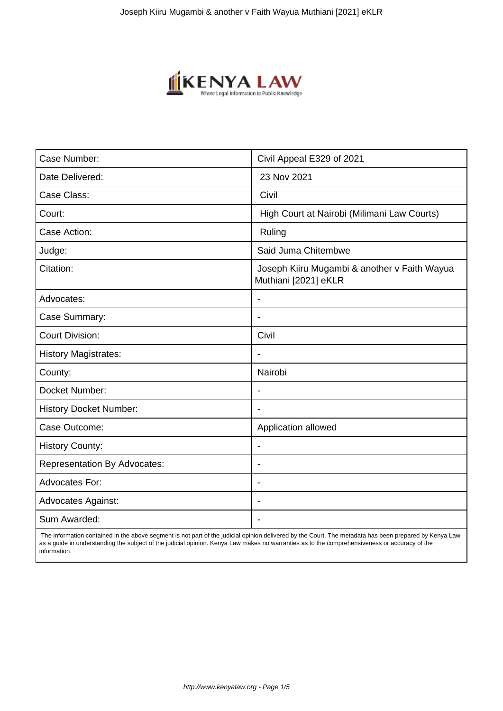

| Case Number:                        | Civil Appeal E329 of 2021                                            |
|-------------------------------------|----------------------------------------------------------------------|
| Date Delivered:                     | 23 Nov 2021                                                          |
| Case Class:                         | Civil                                                                |
| Court:                              | High Court at Nairobi (Milimani Law Courts)                          |
| Case Action:                        | Ruling                                                               |
| Judge:                              | Said Juma Chitembwe                                                  |
| Citation:                           | Joseph Kiiru Mugambi & another v Faith Wayua<br>Muthiani [2021] eKLR |
| Advocates:                          |                                                                      |
| Case Summary:                       |                                                                      |
| <b>Court Division:</b>              | Civil                                                                |
| <b>History Magistrates:</b>         | $\blacksquare$                                                       |
| County:                             | Nairobi                                                              |
| Docket Number:                      |                                                                      |
| <b>History Docket Number:</b>       |                                                                      |
| Case Outcome:                       | Application allowed                                                  |
| <b>History County:</b>              | $\overline{\phantom{a}}$                                             |
| <b>Representation By Advocates:</b> | ÷                                                                    |
| Advocates For:                      | ÷                                                                    |
| <b>Advocates Against:</b>           |                                                                      |
| Sum Awarded:                        |                                                                      |

 The information contained in the above segment is not part of the judicial opinion delivered by the Court. The metadata has been prepared by Kenya Law as a guide in understanding the subject of the judicial opinion. Kenya Law makes no warranties as to the comprehensiveness or accuracy of the information.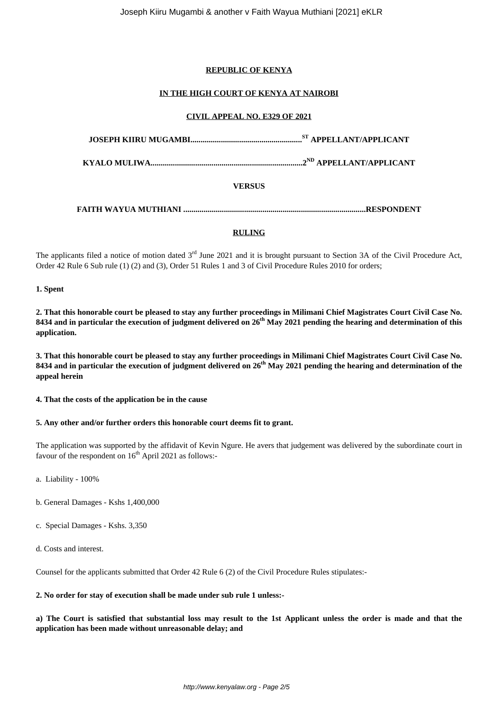## **REPUBLIC OF KENYA**

# **IN THE HIGH COURT OF KENYA AT NAIROBI**

## **CIVIL APPEAL NO. E329 OF 2021**

| VERSUS |  |
|--------|--|
|        |  |

# **RULING**

The applicants filed a notice of motion dated 3<sup>rd</sup> June 2021 and it is brought pursuant to Section 3A of the Civil Procedure Act, Order 42 Rule 6 Sub rule (1) (2) and (3), Order 51 Rules 1 and 3 of Civil Procedure Rules 2010 for orders;

#### **1. Spent**

**2. That this honorable court be pleased to stay any further proceedings in Milimani Chief Magistrates Court Civil Case No. 8434 and in particular the execution of judgment delivered on 26th May 2021 pending the hearing and determination of this application.**

**3. That this honorable court be pleased to stay any further proceedings in Milimani Chief Magistrates Court Civil Case No. 8434 and in particular the execution of judgment delivered on 26th May 2021 pending the hearing and determination of the appeal herein**

**4. That the costs of the application be in the cause**

# **5. Any other and/or further orders this honorable court deems fit to grant.**

The application was supported by the affidavit of Kevin Ngure. He avers that judgement was delivered by the subordinate court in favour of the respondent on  $16<sup>th</sup>$  April 2021 as follows:-

a. Liability - 100%

- b. General Damages Kshs 1,400,000
- c. Special Damages Kshs. 3,350
- d. Costs and interest.

Counsel for the applicants submitted that Order 42 Rule 6 (2) of the Civil Procedure Rules stipulates:-

**2. No order for stay of execution shall be made under sub rule 1 unless:-**

**a) The Court is satisfied that substantial loss may result to the 1st Applicant unless the order is made and that the application has been made without unreasonable delay; and**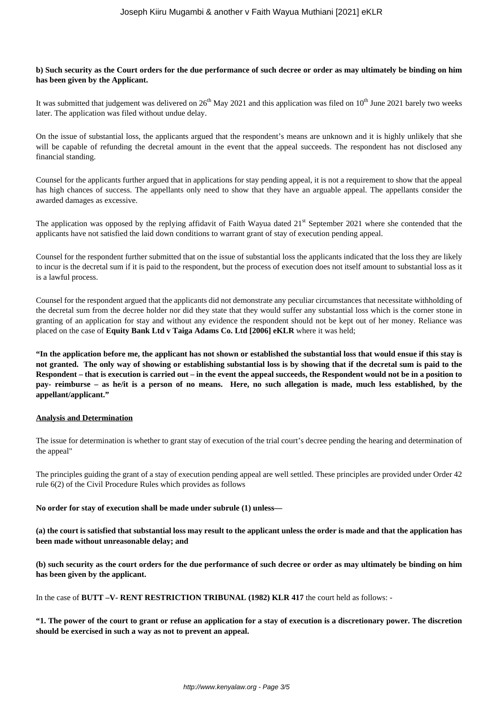### **b) Such security as the Court orders for the due performance of such decree or order as may ultimately be binding on him has been given by the Applicant.**

It was submitted that judgement was delivered on  $26<sup>th</sup>$  May 2021 and this application was filed on  $10<sup>th</sup>$  June 2021 barely two weeks later. The application was filed without undue delay.

On the issue of substantial loss, the applicants argued that the respondent's means are unknown and it is highly unlikely that she will be capable of refunding the decretal amount in the event that the appeal succeeds. The respondent has not disclosed any financial standing.

Counsel for the applicants further argued that in applications for stay pending appeal, it is not a requirement to show that the appeal has high chances of success. The appellants only need to show that they have an arguable appeal. The appellants consider the awarded damages as excessive.

The application was opposed by the replying affidavit of Faith Wayua dated  $21<sup>st</sup>$  September 2021 where she contended that the applicants have not satisfied the laid down conditions to warrant grant of stay of execution pending appeal.

Counsel for the respondent further submitted that on the issue of substantial loss the applicants indicated that the loss they are likely to incur is the decretal sum if it is paid to the respondent, but the process of execution does not itself amount to substantial loss as it is a lawful process.

Counsel for the respondent argued that the applicants did not demonstrate any peculiar circumstances that necessitate withholding of the decretal sum from the decree holder nor did they state that they would suffer any substantial loss which is the corner stone in granting of an application for stay and without any evidence the respondent should not be kept out of her money. Reliance was placed on the case of **Equity Bank Ltd v Taiga Adams Co. Ltd [2006] eKLR** where it was held;

**"In the application before me, the applicant has not shown or established the substantial loss that would ensue if this stay is not granted. The only way of showing or establishing substantial loss is by showing that if the decretal sum is paid to the Respondent – that is execution is carried out – in the event the appeal succeeds, the Respondent would not be in a position to pay- reimburse – as he/it is a person of no means. Here, no such allegation is made, much less established, by the appellant/applicant."**

## **Analysis and Determination**

The issue for determination is whether to grant stay of execution of the trial court's decree pending the hearing and determination of the appeal"

The principles guiding the grant of a stay of execution pending appeal are well settled. These principles are provided under Order 42 rule 6(2) of the Civil Procedure Rules which provides as follows

**No order for stay of execution shall be made under subrule (1) unless—**

**(a) the court is satisfied that substantial loss may result to the applicant unless the order is made and that the application has been made without unreasonable delay; and**

**(b) such security as the court orders for the due performance of such decree or order as may ultimately be binding on him has been given by the applicant.**

In the case of **BUTT –V- RENT RESTRICTION TRIBUNAL (1982) KLR 417** the court held as follows: -

**"1. The power of the court to grant or refuse an application for a stay of execution is a discretionary power. The discretion should be exercised in such a way as not to prevent an appeal.**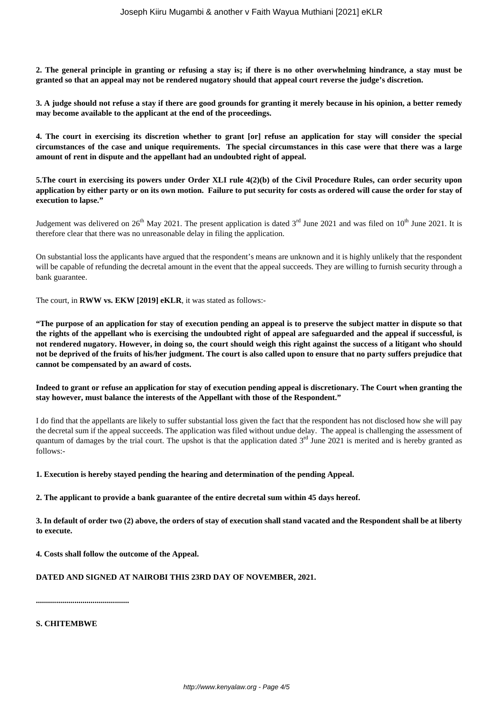**2. The general principle in granting or refusing a stay is; if there is no other overwhelming hindrance, a stay must be granted so that an appeal may not be rendered nugatory should that appeal court reverse the judge's discretion.**

**3. A judge should not refuse a stay if there are good grounds for granting it merely because in his opinion, a better remedy may become available to the applicant at the end of the proceedings.**

**4. The court in exercising its discretion whether to grant [or] refuse an application for stay will consider the special circumstances of the case and unique requirements. The special circumstances in this case were that there was a large amount of rent in dispute and the appellant had an undoubted right of appeal.**

**5.The court in exercising its powers under Order XLI rule 4(2)(b) of the Civil Procedure Rules, can order security upon application by either party or on its own motion. Failure to put security for costs as ordered will cause the order for stay of execution to lapse."**

Judgement was delivered on  $26<sup>th</sup>$  May 2021. The present application is dated  $3<sup>rd</sup>$  June 2021 and was filed on  $10<sup>th</sup>$  June 2021. It is therefore clear that there was no unreasonable delay in filing the application.

On substantial loss the applicants have argued that the respondent's means are unknown and it is highly unlikely that the respondent will be capable of refunding the decretal amount in the event that the appeal succeeds. They are willing to furnish security through a bank guarantee.

The court, in **RWW vs. EKW [2019] eKLR**, it was stated as follows:-

**"The purpose of an application for stay of execution pending an appeal is to preserve the subject matter in dispute so that the rights of the appellant who is exercising the undoubted right of appeal are safeguarded and the appeal if successful, is not rendered nugatory. However, in doing so, the court should weigh this right against the success of a litigant who should not be deprived of the fruits of his/her judgment. The court is also called upon to ensure that no party suffers prejudice that cannot be compensated by an award of costs.**

**Indeed to grant or refuse an application for stay of execution pending appeal is discretionary. The Court when granting the stay however, must balance the interests of the Appellant with those of the Respondent."**

I do find that the appellants are likely to suffer substantial loss given the fact that the respondent has not disclosed how she will pay the decretal sum if the appeal succeeds. The application was filed without undue delay. The appeal is challenging the assessment of quantum of damages by the trial court. The upshot is that the application dated  $3<sup>rd</sup>$  June 2021 is merited and is hereby granted as follows:-

**1. Execution is hereby stayed pending the hearing and determination of the pending Appeal.**

**2. The applicant to provide a bank guarantee of the entire decretal sum within 45 days hereof.**

**3. In default of order two (2) above, the orders of stay of execution shall stand vacated and the Respondent shall be at liberty to execute.**

**4. Costs shall follow the outcome of the Appeal.**

# **DATED AND SIGNED AT NAIROBI THIS 23RD DAY OF NOVEMBER, 2021.**

**..............................................**

**S. CHITEMBWE**